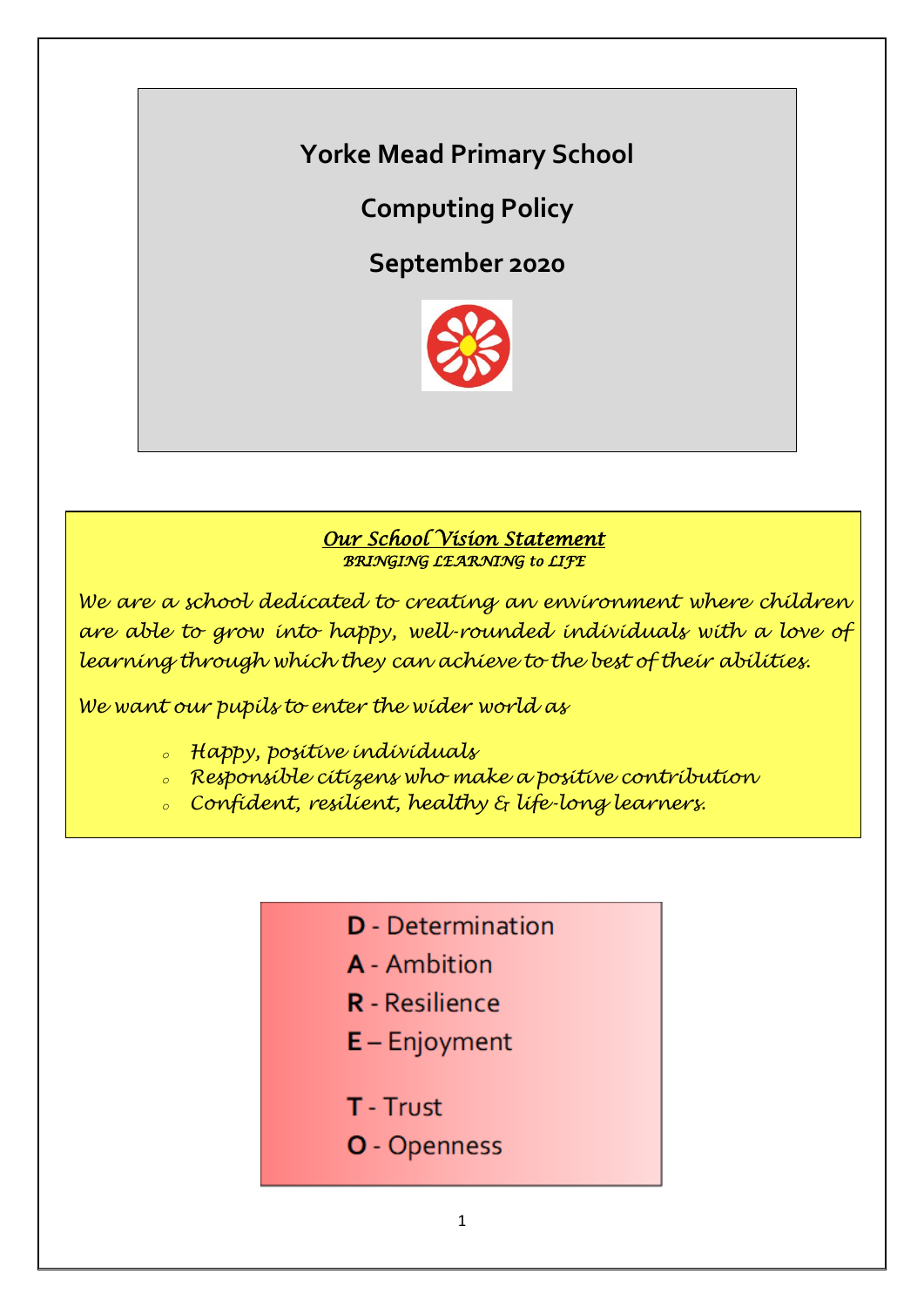**Yorke Mead Primary School**

**Computing Policy**

**September 2020**



# *Our School Vision Statement BRINGING LEARNING to LIFE*

*We are a school dedicated to creating an environment where children are able to grow into happy, well-rounded individuals with a love of learning through which they can achieve to the best of their abilities.*

*We want our pupils to enter the wider world as*

- *<sup>o</sup> Happy, positive individuals*
- *<sup>o</sup> Responsible citizens who make a positive contribution*
- *<sup>o</sup> Confident, resilient, healthy & life-long learners.*
	- **D** Determination
	- **A** Ambition
	- **R** Resilience
	- $E -$  Enjoyment
	- T Trust
	- O Openness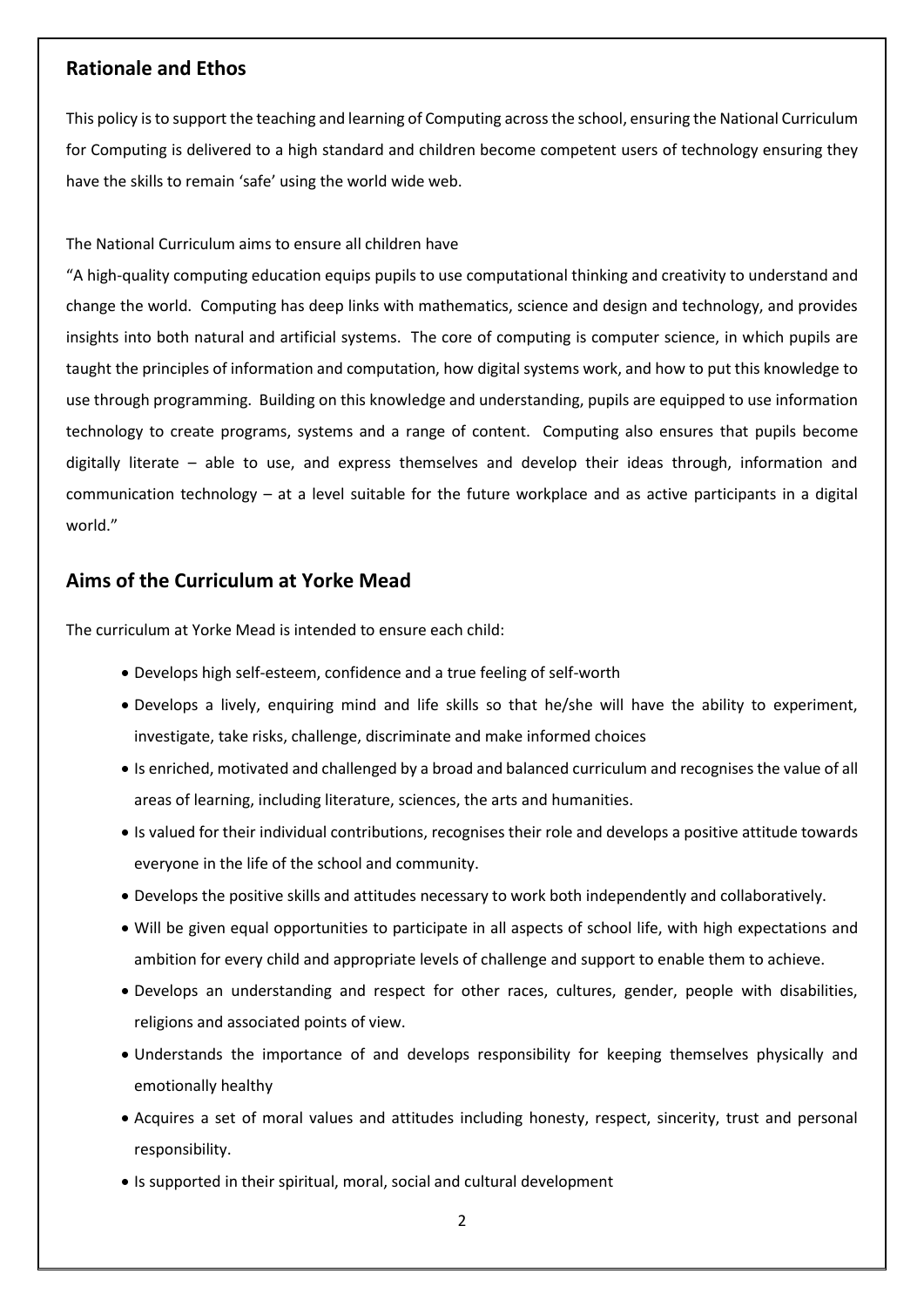#### **Rationale and Ethos**

This policy is to support the teaching and learning of Computing across the school, ensuring the National Curriculum for Computing is delivered to a high standard and children become competent users of technology ensuring they have the skills to remain 'safe' using the world wide web.

The National Curriculum aims to ensure all children have

"A high-quality computing education equips pupils to use computational thinking and creativity to understand and change the world. Computing has deep links with mathematics, science and design and technology, and provides insights into both natural and artificial systems. The core of computing is computer science, in which pupils are taught the principles of information and computation, how digital systems work, and how to put this knowledge to use through programming. Building on this knowledge and understanding, pupils are equipped to use information technology to create programs, systems and a range of content. Computing also ensures that pupils become digitally literate – able to use, and express themselves and develop their ideas through, information and communication technology – at a level suitable for the future workplace and as active participants in a digital world."

#### **Aims of the Curriculum at Yorke Mead**

The curriculum at Yorke Mead is intended to ensure each child:

- Develops high self-esteem, confidence and a true feeling of self-worth
- Develops a lively, enquiring mind and life skills so that he/she will have the ability to experiment, investigate, take risks, challenge, discriminate and make informed choices
- Is enriched, motivated and challenged by a broad and balanced curriculum and recognises the value of all areas of learning, including literature, sciences, the arts and humanities.
- Is valued for their individual contributions, recognises their role and develops a positive attitude towards everyone in the life of the school and community.
- Develops the positive skills and attitudes necessary to work both independently and collaboratively.
- Will be given equal opportunities to participate in all aspects of school life, with high expectations and ambition for every child and appropriate levels of challenge and support to enable them to achieve.
- Develops an understanding and respect for other races, cultures, gender, people with disabilities, religions and associated points of view.
- Understands the importance of and develops responsibility for keeping themselves physically and emotionally healthy
- Acquires a set of moral values and attitudes including honesty, respect, sincerity, trust and personal responsibility.
- Is supported in their spiritual, moral, social and cultural development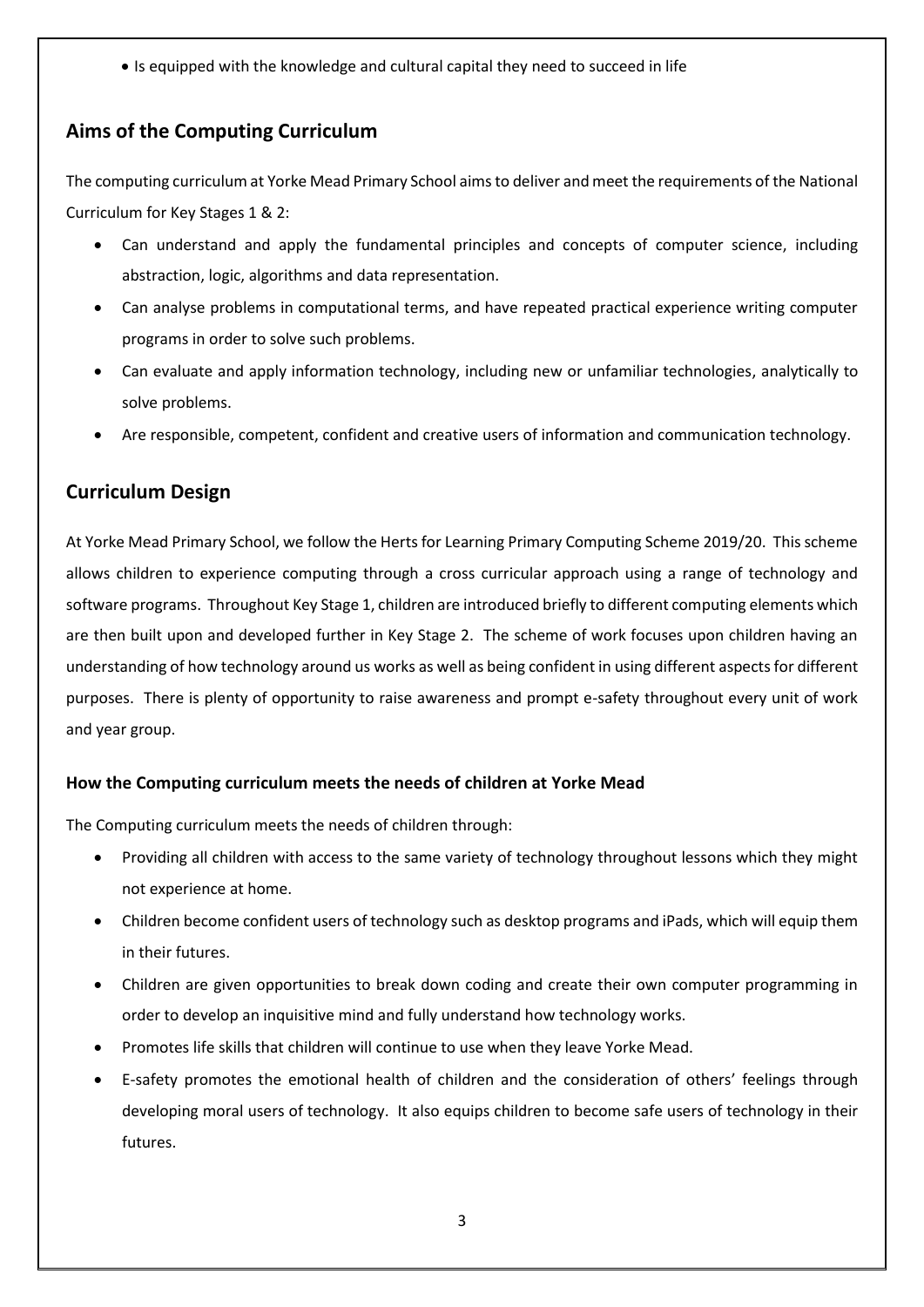• Is equipped with the knowledge and cultural capital they need to succeed in life

# **Aims of the Computing Curriculum**

The computing curriculum at Yorke Mead Primary School aims to deliver and meet the requirements of the National Curriculum for Key Stages 1 & 2:

- Can understand and apply the fundamental principles and concepts of computer science, including abstraction, logic, algorithms and data representation.
- Can analyse problems in computational terms, and have repeated practical experience writing computer programs in order to solve such problems.
- Can evaluate and apply information technology, including new or unfamiliar technologies, analytically to solve problems.
- Are responsible, competent, confident and creative users of information and communication technology.

# **Curriculum Design**

At Yorke Mead Primary School, we follow the Herts for Learning Primary Computing Scheme 2019/20. This scheme allows children to experience computing through a cross curricular approach using a range of technology and software programs. Throughout Key Stage 1, children are introduced briefly to different computing elements which are then built upon and developed further in Key Stage 2. The scheme of work focuses upon children having an understanding of how technology around us works as well as being confident in using different aspects for different purposes. There is plenty of opportunity to raise awareness and prompt e-safety throughout every unit of work and year group.

#### **How the Computing curriculum meets the needs of children at Yorke Mead**

The Computing curriculum meets the needs of children through:

- Providing all children with access to the same variety of technology throughout lessons which they might not experience at home.
- Children become confident users of technology such as desktop programs and iPads, which will equip them in their futures.
- Children are given opportunities to break down coding and create their own computer programming in order to develop an inquisitive mind and fully understand how technology works.
- Promotes life skills that children will continue to use when they leave Yorke Mead.
- E-safety promotes the emotional health of children and the consideration of others' feelings through developing moral users of technology. It also equips children to become safe users of technology in their futures.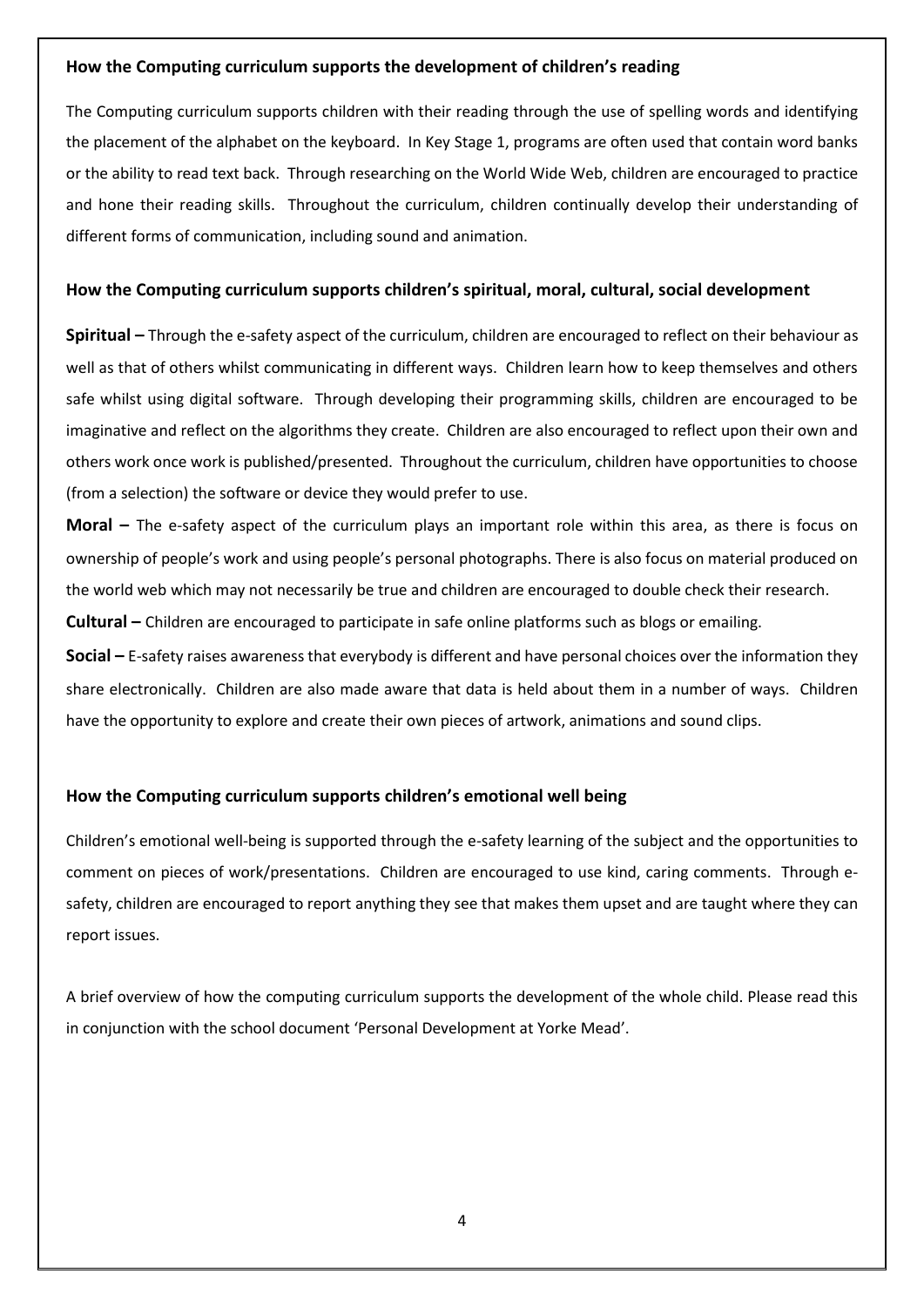#### **How the Computing curriculum supports the development of children's reading**

The Computing curriculum supports children with their reading through the use of spelling words and identifying the placement of the alphabet on the keyboard. In Key Stage 1, programs are often used that contain word banks or the ability to read text back. Through researching on the World Wide Web, children are encouraged to practice and hone their reading skills. Throughout the curriculum, children continually develop their understanding of different forms of communication, including sound and animation.

#### **How the Computing curriculum supports children's spiritual, moral, cultural, social development**

**Spiritual –** Through the e-safety aspect of the curriculum, children are encouraged to reflect on their behaviour as well as that of others whilst communicating in different ways. Children learn how to keep themselves and others safe whilst using digital software. Through developing their programming skills, children are encouraged to be imaginative and reflect on the algorithms they create. Children are also encouraged to reflect upon their own and others work once work is published/presented. Throughout the curriculum, children have opportunities to choose (from a selection) the software or device they would prefer to use.

**Moral** – The e-safety aspect of the curriculum plays an important role within this area, as there is focus on ownership of people's work and using people's personal photographs. There is also focus on material produced on the world web which may not necessarily be true and children are encouraged to double check their research.

**Cultural –** Children are encouraged to participate in safe online platforms such as blogs or emailing.

**Social –** E-safety raises awareness that everybody is different and have personal choices over the information they share electronically. Children are also made aware that data is held about them in a number of ways. Children have the opportunity to explore and create their own pieces of artwork, animations and sound clips.

#### **How the Computing curriculum supports children's emotional well being**

Children's emotional well-being is supported through the e-safety learning of the subject and the opportunities to comment on pieces of work/presentations. Children are encouraged to use kind, caring comments. Through esafety, children are encouraged to report anything they see that makes them upset and are taught where they can report issues.

A brief overview of how the computing curriculum supports the development of the whole child. Please read this in conjunction with the school document 'Personal Development at Yorke Mead'.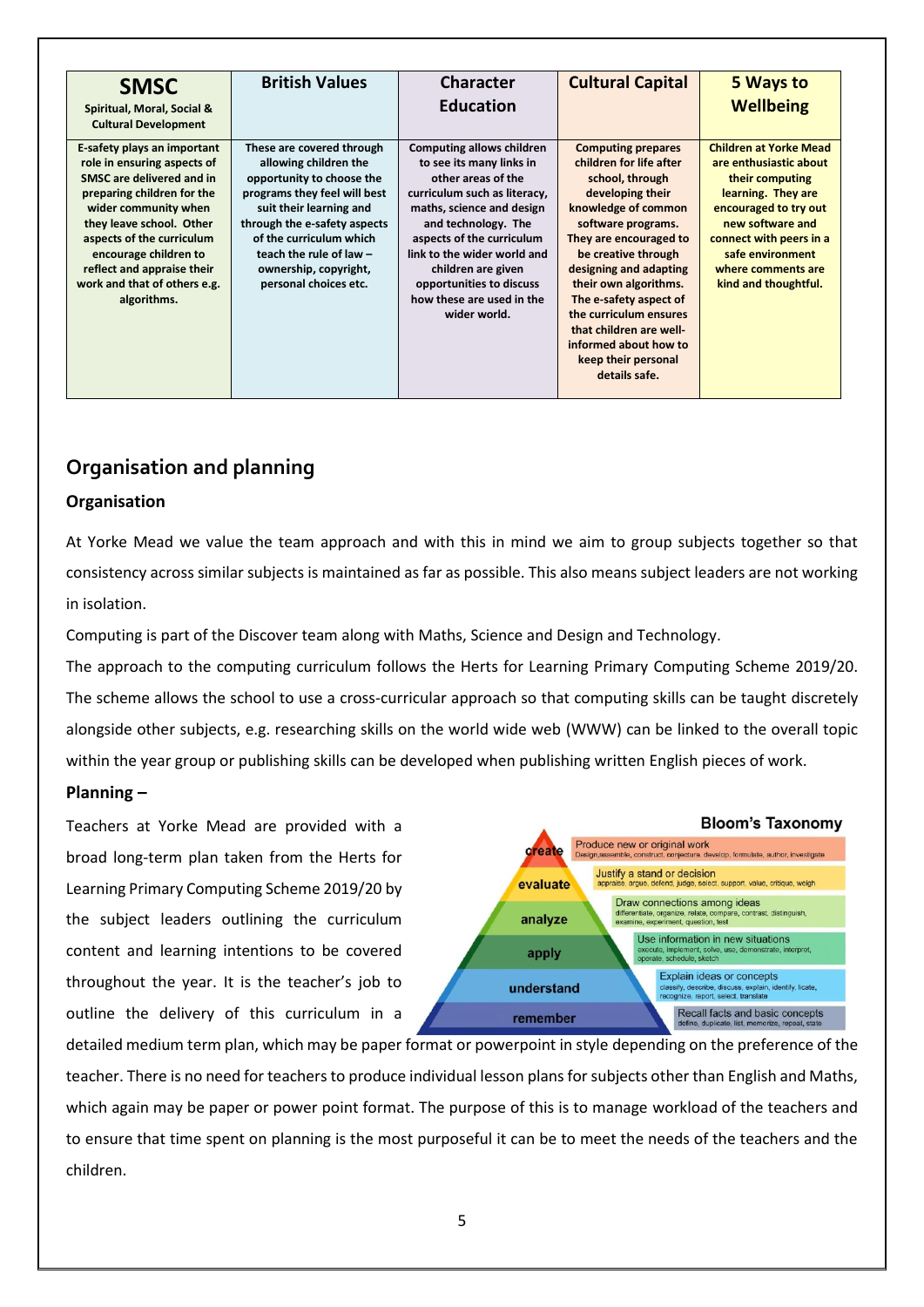| <b>SMSC</b><br>Spiritual, Moral, Social &<br><b>Cultural Development</b>                                                                                                                                                                                                                                     | <b>British Values</b>                                                                                                                                                                                                                                                                | <b>Character</b><br><b>Education</b>                                                                                                                                                                                                                                                                                              | <b>Cultural Capital</b>                                                                                                                                                                                                                                                                                                                                                                      | 5 Ways to<br><b>Wellbeing</b>                                                                                                                                                                                                              |
|--------------------------------------------------------------------------------------------------------------------------------------------------------------------------------------------------------------------------------------------------------------------------------------------------------------|--------------------------------------------------------------------------------------------------------------------------------------------------------------------------------------------------------------------------------------------------------------------------------------|-----------------------------------------------------------------------------------------------------------------------------------------------------------------------------------------------------------------------------------------------------------------------------------------------------------------------------------|----------------------------------------------------------------------------------------------------------------------------------------------------------------------------------------------------------------------------------------------------------------------------------------------------------------------------------------------------------------------------------------------|--------------------------------------------------------------------------------------------------------------------------------------------------------------------------------------------------------------------------------------------|
| E-safety plays an important<br>role in ensuring aspects of<br>SMSC are delivered and in<br>preparing children for the<br>wider community when<br>they leave school. Other<br>aspects of the curriculum<br>encourage children to<br>reflect and appraise their<br>work and that of others e.g.<br>algorithms. | These are covered through<br>allowing children the<br>opportunity to choose the<br>programs they feel will best<br>suit their learning and<br>through the e-safety aspects<br>of the curriculum which<br>teach the rule of law $-$<br>ownership, copyright,<br>personal choices etc. | <b>Computing allows children</b><br>to see its many links in<br>other areas of the<br>curriculum such as literacy,<br>maths, science and design<br>and technology. The<br>aspects of the curriculum<br>link to the wider world and<br>children are given<br>opportunities to discuss<br>how these are used in the<br>wider world. | <b>Computing prepares</b><br>children for life after<br>school, through<br>developing their<br>knowledge of common<br>software programs.<br>They are encouraged to<br>be creative through<br>designing and adapting<br>their own algorithms.<br>The e-safety aspect of<br>the curriculum ensures<br>that children are well-<br>informed about how to<br>keep their personal<br>details safe. | <b>Children at Yorke Mead</b><br>are enthusiastic about<br>their computing<br>learning. They are<br>encouraged to try out<br>new software and<br>connect with peers in a<br>safe environment<br>where comments are<br>kind and thoughtful. |

# **Organisation and planning**

#### **Organisation**

At Yorke Mead we value the team approach and with this in mind we aim to group subjects together so that consistency across similar subjects is maintained as far as possible. This also means subject leaders are not working in isolation.

Computing is part of the Discover team along with Maths, Science and Design and Technology.

The approach to the computing curriculum follows the Herts for Learning Primary Computing Scheme 2019/20. The scheme allows the school to use a cross-curricular approach so that computing skills can be taught discretely alongside other subjects, e.g. researching skills on the world wide web (WWW) can be linked to the overall topic within the year group or publishing skills can be developed when publishing written English pieces of work.

#### **Planning –**

Teachers at Yorke Mead are provided with a broad long-term plan taken from the Herts for Learning Primary Computing Scheme 2019/20 by the subject leaders outlining the curriculum content and learning intentions to be covered throughout the year. It is the teacher's job to outline the delivery of this curriculum in a



detailed medium term plan, which may be paper format or powerpoint in style depending on the preference of the teacher. There is no need for teachers to produce individual lesson plans for subjects other than English and Maths, which again may be paper or power point format. The purpose of this is to manage workload of the teachers and to ensure that time spent on planning is the most purposeful it can be to meet the needs of the teachers and the children.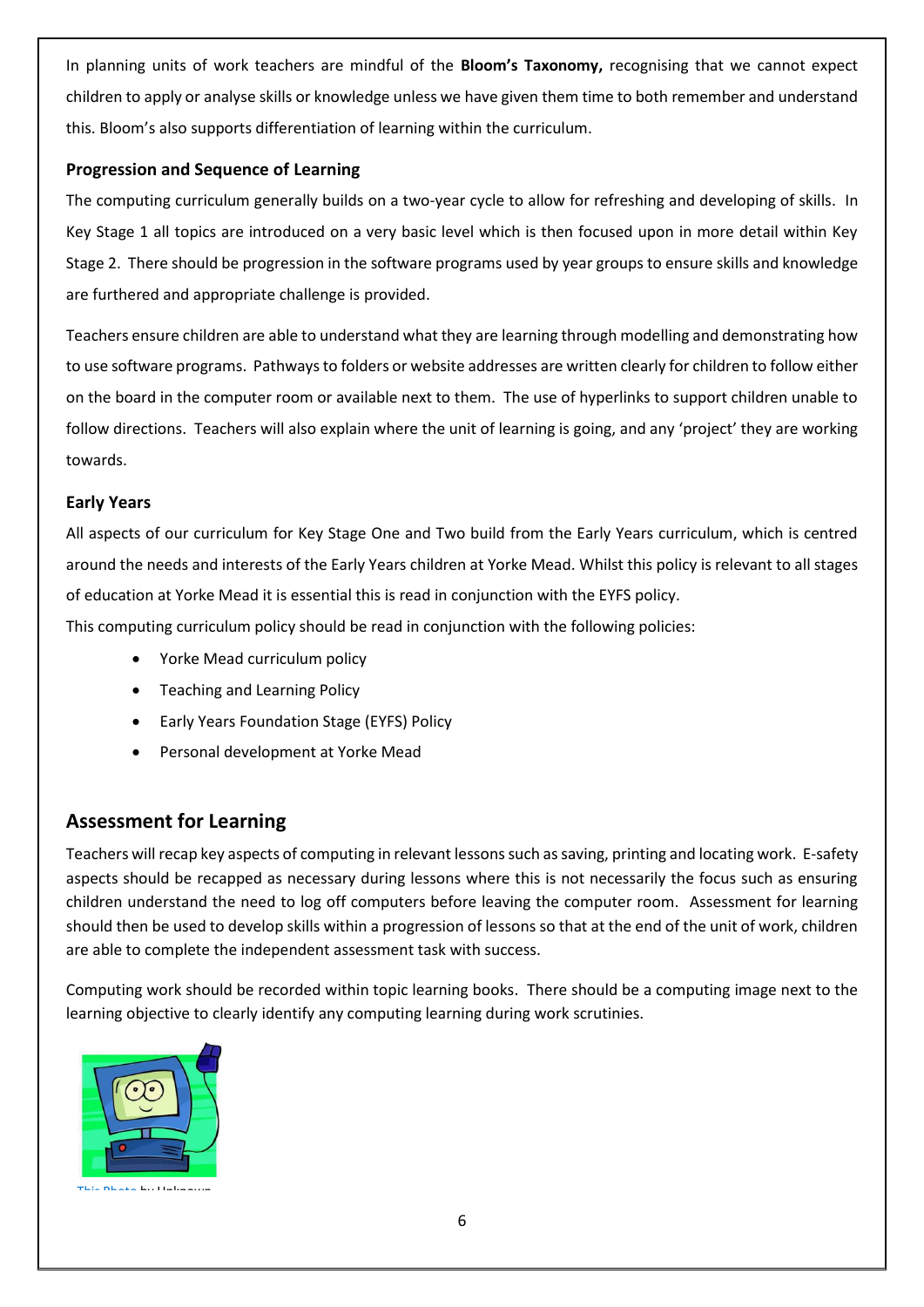In planning units of work teachers are mindful of the **Bloom's Taxonomy,** recognising that we cannot expect children to apply or analyse skills or knowledge unless we have given them time to both remember and understand this. Bloom's also supports differentiation of learning within the curriculum.

#### **Progression and Sequence of Learning**

The computing curriculum generally builds on a two-year cycle to allow for refreshing and developing of skills. In Key Stage 1 all topics are introduced on a very basic level which is then focused upon in more detail within Key Stage 2. There should be progression in the software programs used by year groups to ensure skills and knowledge are furthered and appropriate challenge is provided.

Teachers ensure children are able to understand what they are learning through modelling and demonstrating how to use software programs. Pathways to folders or website addresses are written clearly for children to follow either on the board in the computer room or available next to them. The use of hyperlinks to support children unable to follow directions. Teachers will also explain where the unit of learning is going, and any 'project' they are working towards.

#### **Early Years**

All aspects of our curriculum for Key Stage One and Two build from the Early Years curriculum, which is centred around the needs and interests of the Early Years children at Yorke Mead. Whilst this policy is relevant to all stages of education at Yorke Mead it is essential this is read in conjunction with the EYFS policy.

This computing curriculum policy should be read in conjunction with the following policies:

- Yorke Mead curriculum policy
- Teaching and Learning Policy
- Early Years Foundation Stage (EYFS) Policy
- Personal development at Yorke Mead

#### **Assessment for Learning**

Teachers will recap key aspects of computing in relevant lessons such as saving, printing and locating work. E-safety aspects should be recapped as necessary during lessons where this is not necessarily the focus such as ensuring children understand the need to log off computers before leaving the computer room. Assessment for learning should then be used to develop skills within a progression of lessons so that at the end of the unit of work, children are able to complete the independent assessment task with success.

Computing work should be recorded within topic learning books. There should be a computing image next to the learning objective to clearly identify any computing learning during work scrutinies.



[This Photo](http://nancysblog-seeker.blogspot.com/2012/01/why-do-people-read-blogs-in-working.html) by Unknown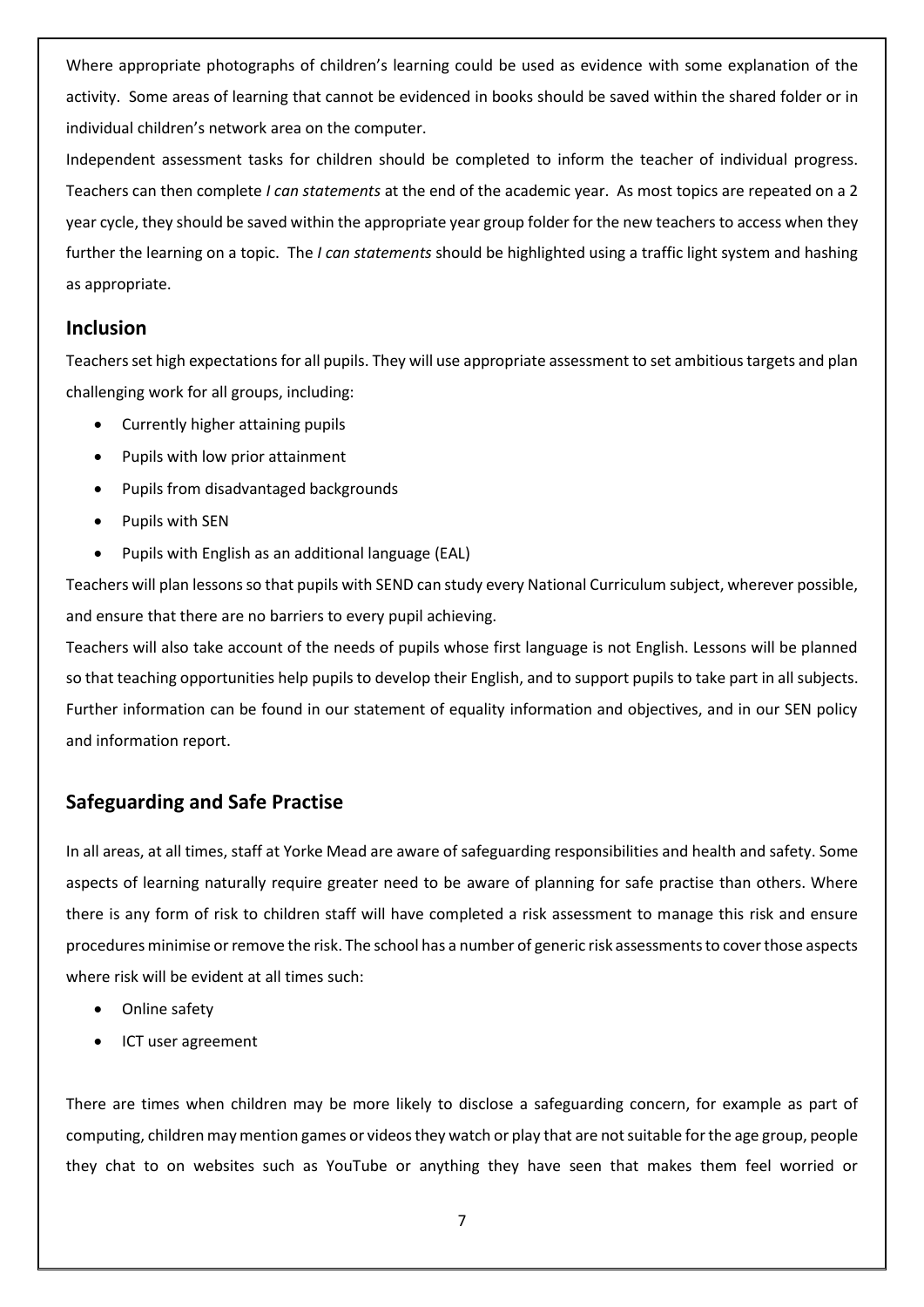Where appropriate photographs of children's learning could be used as evidence with some explanation of the activity. Some areas of learning that cannot be evidenced in books should be saved within the shared folder or in individual children's network area on the computer.

Independent assessment tasks for children should be completed to inform the teacher of individual progress. Teachers can then complete *I can statements* at the end of the academic year. As most topics are repeated on a 2 year cycle, they should be saved within the appropriate year group folder for the new teachers to access when they further the learning on a topic. The *I can statements* should be highlighted using a traffic light system and hashing as appropriate.

#### **Inclusion**

Teachers set high expectations for all pupils. They will use appropriate assessment to set ambitious targets and plan challenging work for all groups, including:

- Currently higher attaining pupils
- Pupils with low prior attainment
- Pupils from disadvantaged backgrounds
- Pupils with SEN
- Pupils with English as an additional language (EAL)

Teachers will plan lessons so that pupils with SEND can study every National Curriculum subject, wherever possible, and ensure that there are no barriers to every pupil achieving.

Teachers will also take account of the needs of pupils whose first language is not English. Lessons will be planned so that teaching opportunities help pupils to develop their English, and to support pupils to take part in all subjects. Further information can be found in our statement of equality information and objectives, and in our SEN policy and information report.

### **Safeguarding and Safe Practise**

In all areas, at all times, staff at Yorke Mead are aware of safeguarding responsibilities and health and safety. Some aspects of learning naturally require greater need to be aware of planning for safe practise than others. Where there is any form of risk to children staff will have completed a risk assessment to manage this risk and ensure procedures minimise or remove the risk. The school has a number of generic risk assessments to cover those aspects where risk will be evident at all times such:

- Online safety
- ICT user agreement

There are times when children may be more likely to disclose a safeguarding concern, for example as part of computing, children may mention games or videos they watch or play that are not suitable for the age group, people they chat to on websites such as YouTube or anything they have seen that makes them feel worried or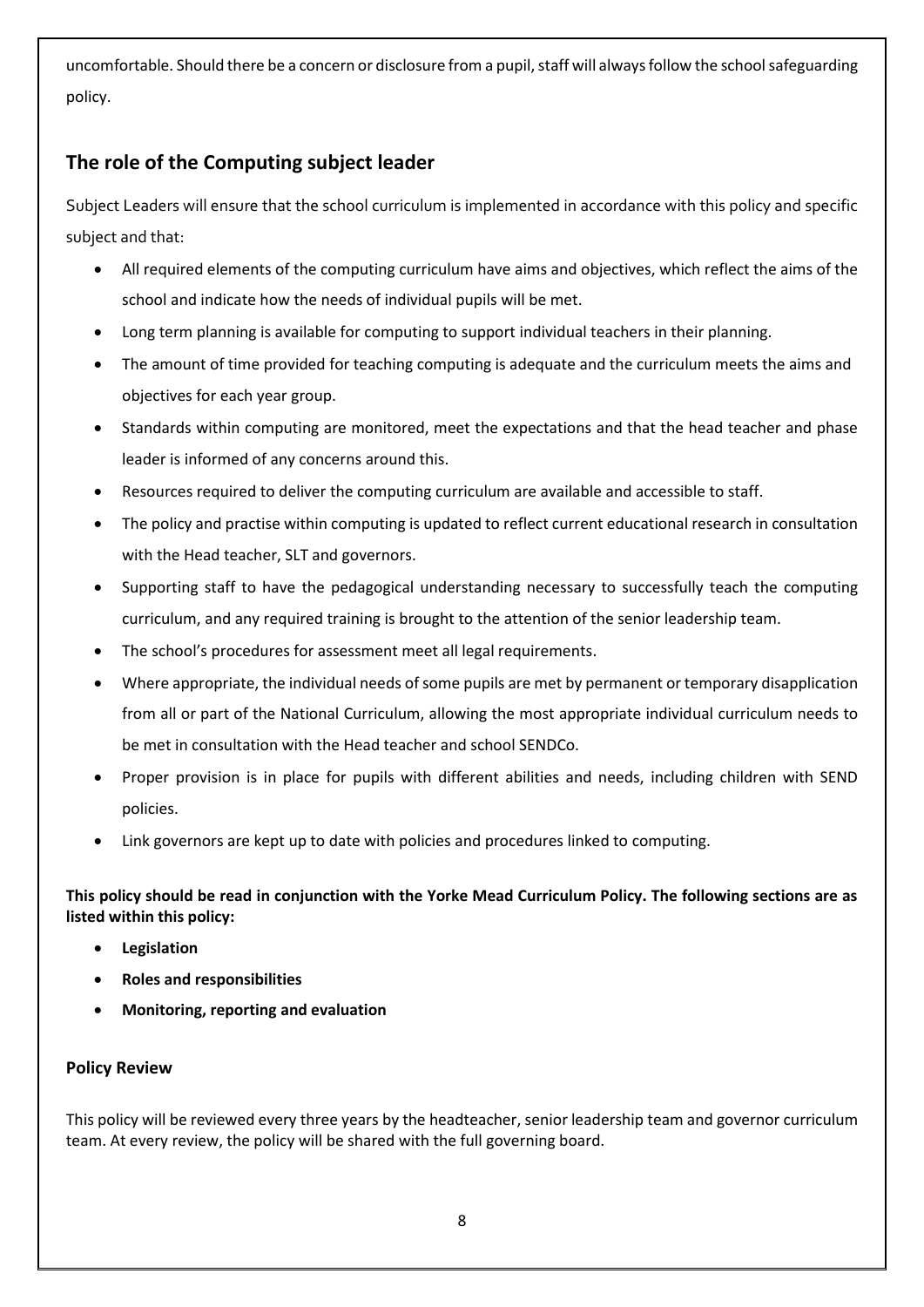uncomfortable. Should there be a concern or disclosure from a pupil, staff will always follow the schoolsafeguarding policy.

# **The role of the Computing subject leader**

Subject Leaders will ensure that the school curriculum is implemented in accordance with this policy and specific subject and that:

- All required elements of the computing curriculum have aims and objectives, which reflect the aims of the school and indicate how the needs of individual pupils will be met.
- Long term planning is available for computing to support individual teachers in their planning.
- The amount of time provided for teaching computing is adequate and the curriculum meets the aims and objectives for each year group.
- Standards within computing are monitored, meet the expectations and that the head teacher and phase leader is informed of any concerns around this.
- Resources required to deliver the computing curriculum are available and accessible to staff.
- The policy and practise within computing is updated to reflect current educational research in consultation with the Head teacher, SLT and governors.
- Supporting staff to have the pedagogical understanding necessary to successfully teach the computing curriculum, and any required training is brought to the attention of the senior leadership team.
- The school's procedures for assessment meet all legal requirements.
- Where appropriate, the individual needs of some pupils are met by permanent or temporary disapplication from all or part of the National Curriculum, allowing the most appropriate individual curriculum needs to be met in consultation with the Head teacher and school SENDCo.
- Proper provision is in place for pupils with different abilities and needs, including children with SEND policies.
- Link governors are kept up to date with policies and procedures linked to computing.

**This policy should be read in conjunction with the Yorke Mead Curriculum Policy. The following sections are as listed within this policy:** 

- **Legislation**
- **Roles and responsibilities**
- **Monitoring, reporting and evaluation**

#### **Policy Review**

This policy will be reviewed every three years by the headteacher, senior leadership team and governor curriculum team. At every review, the policy will be shared with the full governing board.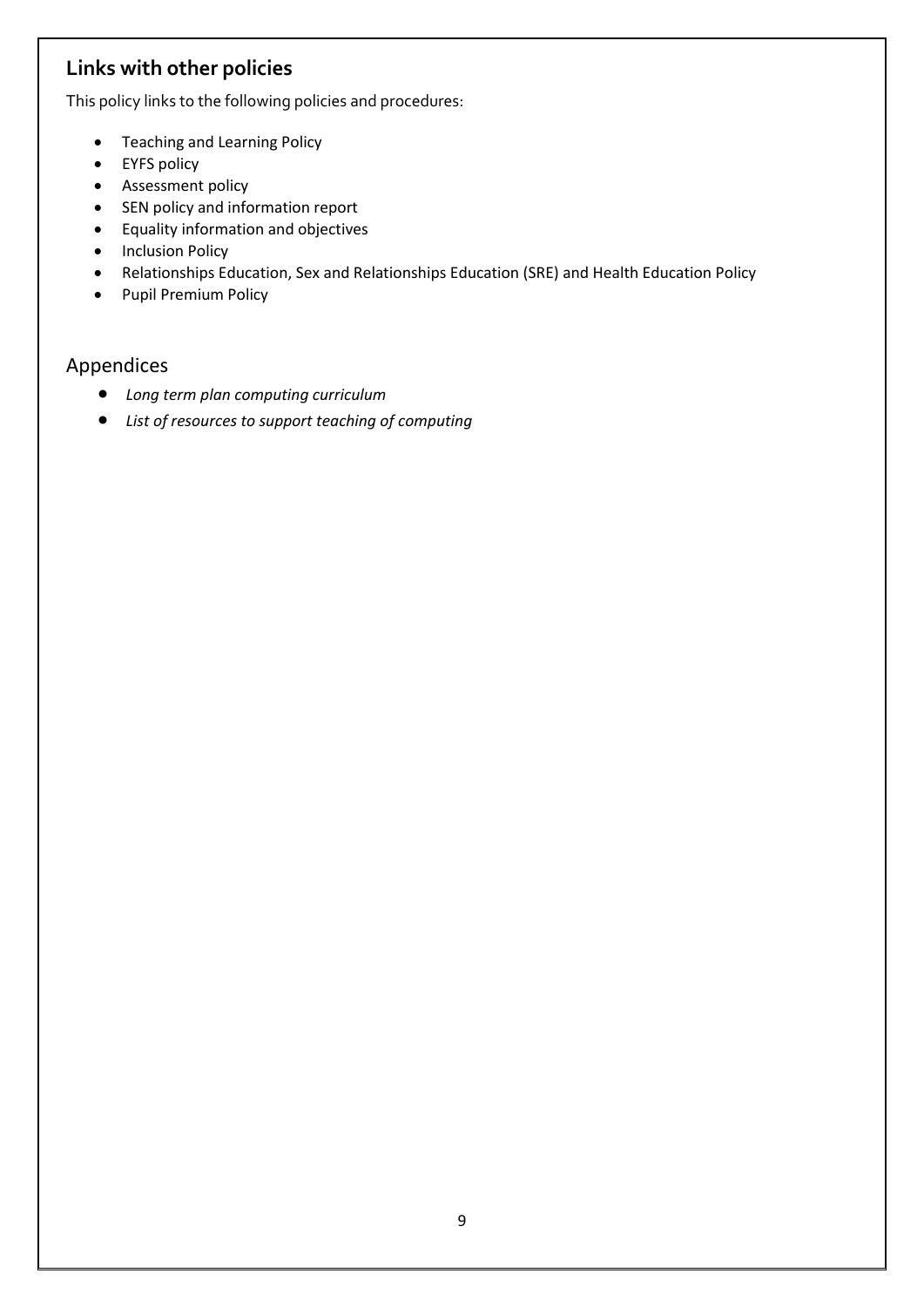# **Links with other policies**

This policy links to the following policies and procedures:

- Teaching and Learning Policy
- EYFS policy
- **•** Assessment policy
- SEN policy and information report
- Equality information and objectives
- Inclusion Policy
- Relationships Education, Sex and Relationships Education (SRE) and Health Education Policy
- Pupil Premium Policy

### Appendices

- *Long term plan computing curriculum*
- *List of resources to support teaching of computing*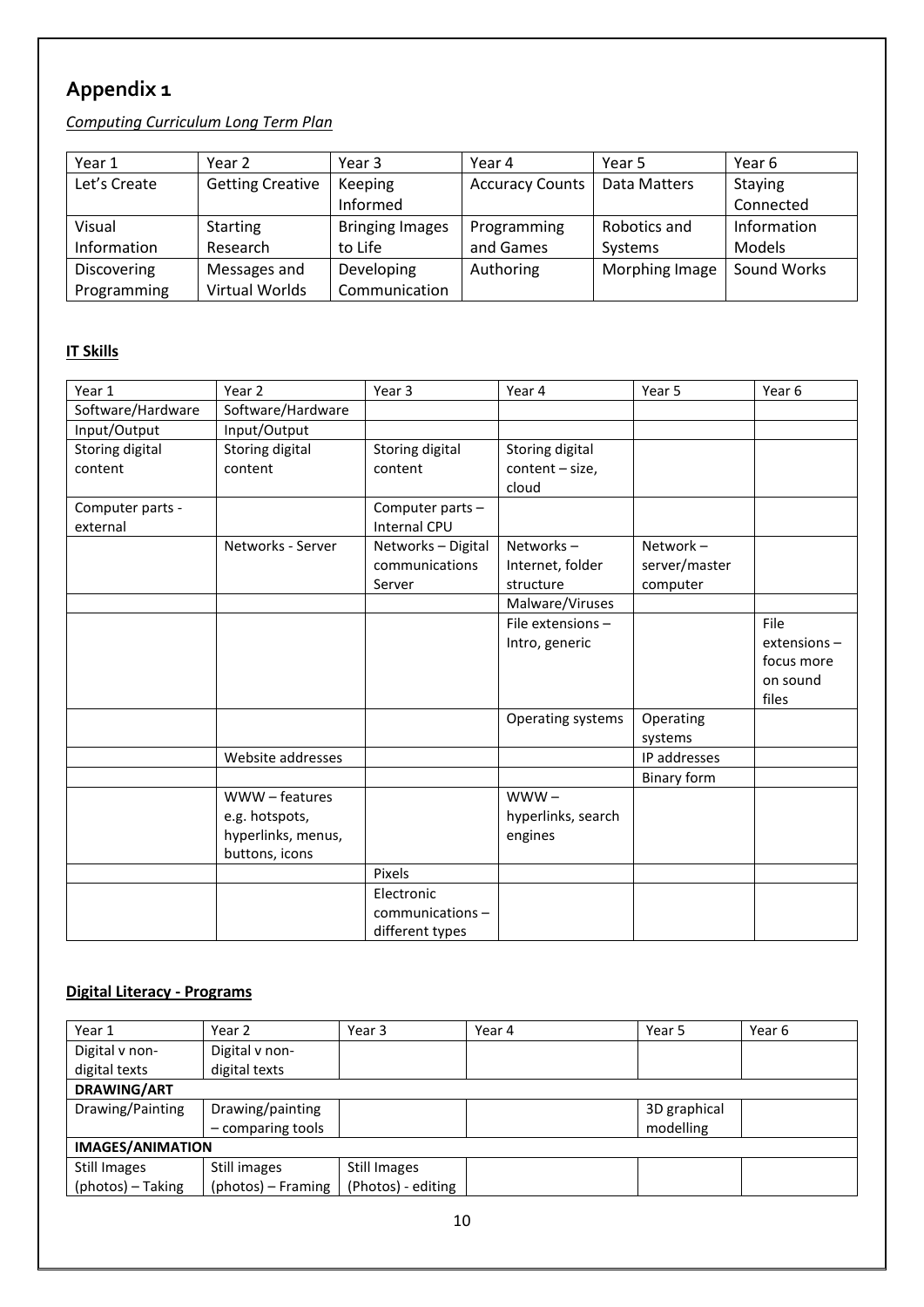# **Appendix 1**

# *Computing Curriculum Long Term Plan*

| Year 1             | Year 2                  | Year 3                 | Year 4                 | Year 5         | Year 6        |
|--------------------|-------------------------|------------------------|------------------------|----------------|---------------|
| Let's Create       | <b>Getting Creative</b> | Keeping                | <b>Accuracy Counts</b> | Data Matters   | Staying       |
|                    |                         | Informed               |                        |                | Connected     |
| Visual             | <b>Starting</b>         | <b>Bringing Images</b> | Programming            | Robotics and   | Information   |
| Information        | Research                | to Life                | and Games              | Systems        | <b>Models</b> |
| <b>Discovering</b> | Messages and            | Developing             | Authoring              | Morphing Image | Sound Works   |
| Programming        | Virtual Worlds          | Communication          |                        |                |               |

# **IT Skills**

| Year 1                       | Year 2                                                                 | Year 3                                           | Year 4                                      | Year 5                                   | Year 6                                                   |
|------------------------------|------------------------------------------------------------------------|--------------------------------------------------|---------------------------------------------|------------------------------------------|----------------------------------------------------------|
| Software/Hardware            | Software/Hardware                                                      |                                                  |                                             |                                          |                                                          |
| Input/Output                 | Input/Output                                                           |                                                  |                                             |                                          |                                                          |
| Storing digital<br>content   | Storing digital<br>content                                             | Storing digital<br>content                       | Storing digital<br>content - size,<br>cloud |                                          |                                                          |
| Computer parts -<br>external |                                                                        | Computer parts -<br><b>Internal CPU</b>          |                                             |                                          |                                                          |
|                              | Networks - Server                                                      | Networks - Digital<br>communications<br>Server   | Networks-<br>Internet, folder<br>structure  | Network $-$<br>server/master<br>computer |                                                          |
|                              |                                                                        |                                                  | Malware/Viruses                             |                                          |                                                          |
|                              |                                                                        |                                                  | File extensions-<br>Intro, generic          |                                          | File<br>$extension -$<br>focus more<br>on sound<br>files |
|                              |                                                                        |                                                  | Operating systems                           | Operating<br>systems                     |                                                          |
|                              | Website addresses                                                      |                                                  |                                             | IP addresses                             |                                                          |
|                              |                                                                        |                                                  |                                             | Binary form                              |                                                          |
|                              | WWW-features<br>e.g. hotspots,<br>hyperlinks, menus,<br>buttons, icons |                                                  | $WWW -$<br>hyperlinks, search<br>engines    |                                          |                                                          |
|                              |                                                                        | Pixels                                           |                                             |                                          |                                                          |
|                              |                                                                        | Electronic<br>communications-<br>different types |                                             |                                          |                                                          |

## **Digital Literacy - Programs**

| Year 1                  | Year 2             | Year 3             | Year 4 | Year 5       | Year 6 |  |  |
|-------------------------|--------------------|--------------------|--------|--------------|--------|--|--|
| Digital v non-          | Digital v non-     |                    |        |              |        |  |  |
| digital texts           | digital texts      |                    |        |              |        |  |  |
| <b>DRAWING/ART</b>      |                    |                    |        |              |        |  |  |
| Drawing/Painting        | Drawing/painting   |                    |        | 3D graphical |        |  |  |
|                         | - comparing tools  |                    |        | modelling    |        |  |  |
| <b>IMAGES/ANIMATION</b> |                    |                    |        |              |        |  |  |
| Still Images            | Still images       | Still Images       |        |              |        |  |  |
| (photos) - Taking       | (photos) – Framing | (Photos) - editing |        |              |        |  |  |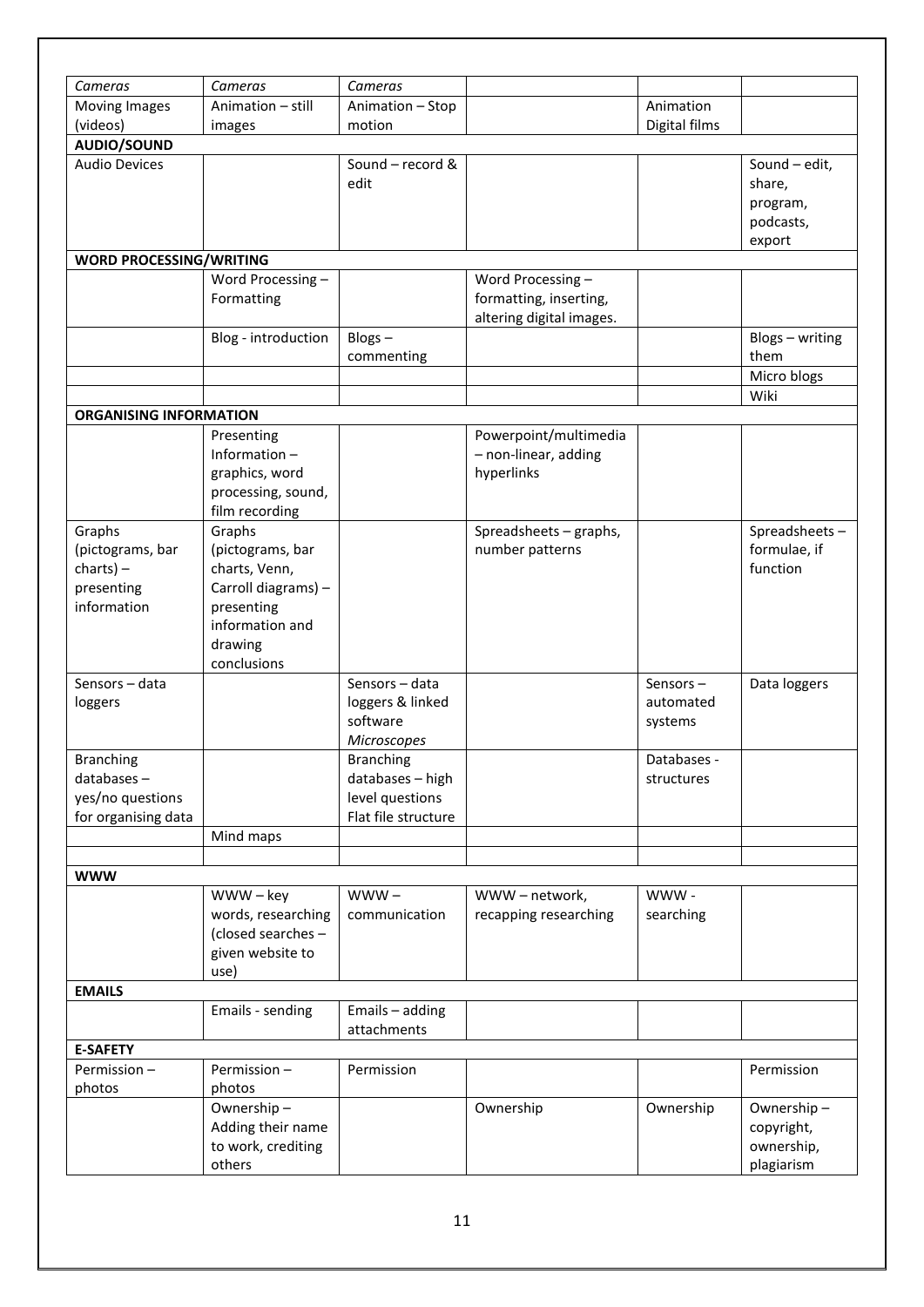| Cameras                                                                   | Cameras                                                                                                                       | Cameras                                                                        |                                                                        |                                     |                                                            |
|---------------------------------------------------------------------------|-------------------------------------------------------------------------------------------------------------------------------|--------------------------------------------------------------------------------|------------------------------------------------------------------------|-------------------------------------|------------------------------------------------------------|
| Moving Images                                                             | Animation - still                                                                                                             | Animation - Stop                                                               |                                                                        | Animation                           |                                                            |
| (videos)                                                                  | images                                                                                                                        | motion                                                                         |                                                                        | Digital films                       |                                                            |
| AUDIO/SOUND                                                               |                                                                                                                               |                                                                                |                                                                        |                                     |                                                            |
| <b>Audio Devices</b>                                                      |                                                                                                                               | Sound - record &<br>edit                                                       |                                                                        |                                     | Sound - edit,<br>share,<br>program,<br>podcasts,<br>export |
| <b>WORD PROCESSING/WRITING</b>                                            |                                                                                                                               |                                                                                |                                                                        |                                     |                                                            |
|                                                                           | Word Processing -<br>Formatting                                                                                               |                                                                                | Word Processing-<br>formatting, inserting,<br>altering digital images. |                                     |                                                            |
|                                                                           | Blog - introduction                                                                                                           | Blogs-<br>commenting                                                           |                                                                        |                                     | Blogs - writing<br>them                                    |
|                                                                           |                                                                                                                               |                                                                                |                                                                        |                                     | Micro blogs                                                |
|                                                                           |                                                                                                                               |                                                                                |                                                                        |                                     | Wiki                                                       |
| <b>ORGANISING INFORMATION</b>                                             |                                                                                                                               |                                                                                |                                                                        |                                     |                                                            |
|                                                                           | Presenting<br>Information-<br>graphics, word<br>processing, sound,<br>film recording                                          |                                                                                | Powerpoint/multimedia<br>- non-linear, adding<br>hyperlinks            |                                     |                                                            |
| Graphs<br>(pictograms, bar<br>$charts$ ) –<br>presenting<br>information   | Graphs<br>(pictograms, bar<br>charts, Venn,<br>Carroll diagrams) -<br>presenting<br>information and<br>drawing<br>conclusions |                                                                                | Spreadsheets - graphs,<br>number patterns                              |                                     | Spreadsheets-<br>formulae, if<br>function                  |
| Sensors - data<br>loggers                                                 |                                                                                                                               | Sensors - data<br>loggers & linked<br>software<br><b>Microscopes</b>           |                                                                        | Sensors $-$<br>automated<br>systems | Data loggers                                               |
| <b>Branching</b><br>databases-<br>yes/no questions<br>for organising data |                                                                                                                               | <b>Branching</b><br>databases - high<br>level questions<br>Flat file structure |                                                                        | Databases -<br>structures           |                                                            |
|                                                                           | Mind maps                                                                                                                     |                                                                                |                                                                        |                                     |                                                            |
|                                                                           |                                                                                                                               |                                                                                |                                                                        |                                     |                                                            |
| <b>WWW</b>                                                                |                                                                                                                               |                                                                                |                                                                        |                                     |                                                            |
|                                                                           | $WWW - key$<br>words, researching<br>(closed searches -<br>given website to<br>use)                                           | $WWW -$<br>communication                                                       | WWW-network,<br>recapping researching                                  | WWW-<br>searching                   |                                                            |
| <b>EMAILS</b>                                                             |                                                                                                                               |                                                                                |                                                                        |                                     |                                                            |
|                                                                           | Emails - sending                                                                                                              | Emails - adding<br>attachments                                                 |                                                                        |                                     |                                                            |
| <b>E-SAFETY</b>                                                           |                                                                                                                               |                                                                                |                                                                        |                                     |                                                            |
| Permission-<br>photos                                                     | Permission-<br>photos                                                                                                         | Permission                                                                     |                                                                        |                                     | Permission                                                 |
|                                                                           | Ownership-<br>Adding their name<br>to work, crediting<br>others                                                               |                                                                                | Ownership                                                              | Ownership                           | Ownership-<br>copyright,<br>ownership,<br>plagiarism       |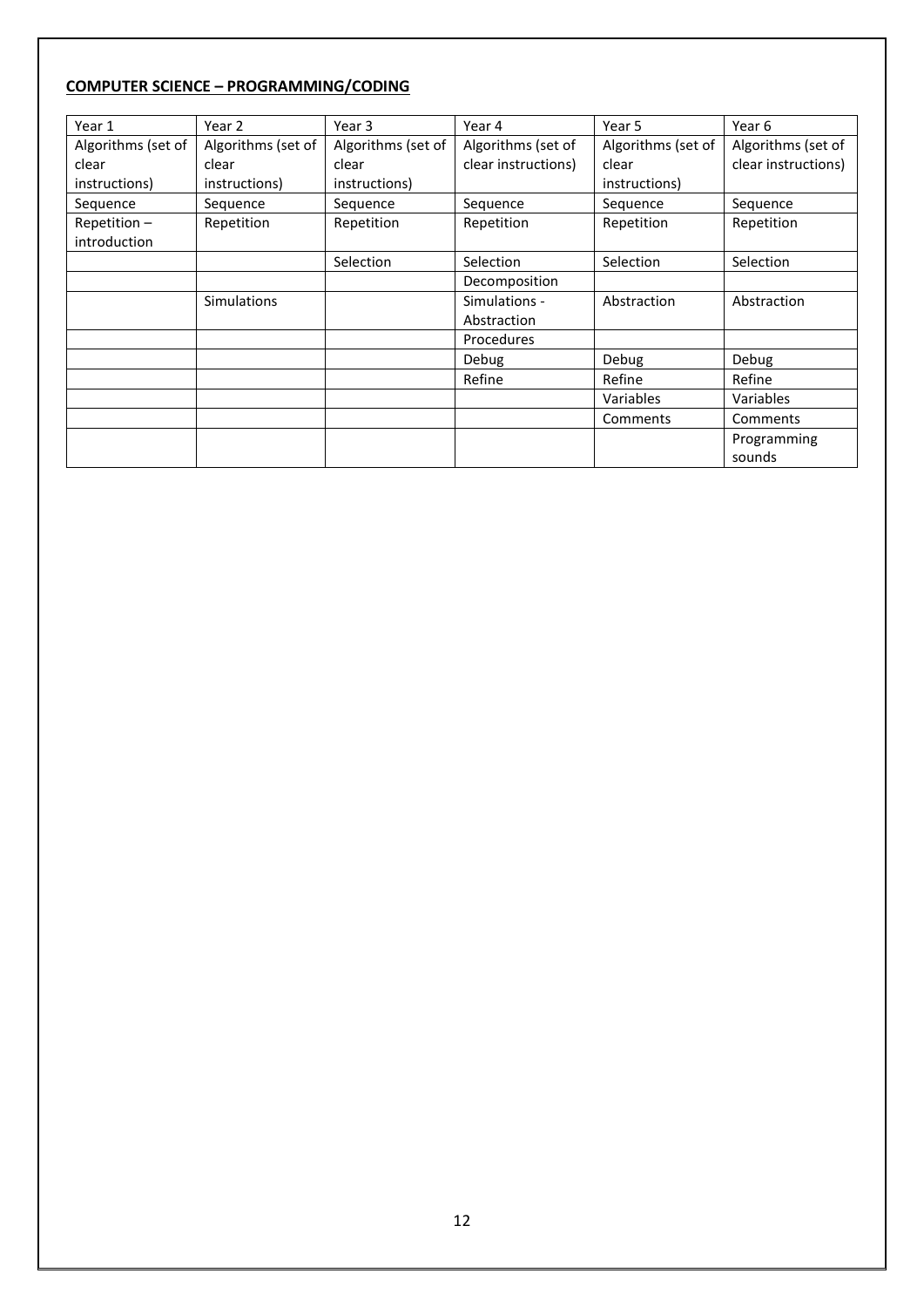## **COMPUTER SCIENCE – PROGRAMMING/CODING**

| Year 1             | Year 2             | Year 3             | Year 4              | Year 5             | Year 6              |
|--------------------|--------------------|--------------------|---------------------|--------------------|---------------------|
| Algorithms (set of | Algorithms (set of | Algorithms (set of | Algorithms (set of  | Algorithms (set of | Algorithms (set of  |
| clear              | clear              | clear              | clear instructions) | clear              | clear instructions) |
| instructions)      | instructions)      | instructions)      |                     | instructions)      |                     |
| Sequence           | Sequence           | Sequence           | Sequence            | Sequence           | Sequence            |
| Repetition $-$     | Repetition         | Repetition         | Repetition          | Repetition         | Repetition          |
| introduction       |                    |                    |                     |                    |                     |
|                    |                    | Selection          | Selection           | Selection          | Selection           |
|                    |                    |                    | Decomposition       |                    |                     |
|                    | <b>Simulations</b> |                    | Simulations -       | Abstraction        | Abstraction         |
|                    |                    |                    | Abstraction         |                    |                     |
|                    |                    |                    | Procedures          |                    |                     |
|                    |                    |                    | Debug               | Debug              | Debug               |
|                    |                    |                    | Refine              | Refine             | Refine              |
|                    |                    |                    |                     | Variables          | Variables           |
|                    |                    |                    |                     | Comments           | Comments            |
|                    |                    |                    |                     |                    | Programming         |
|                    |                    |                    |                     |                    | sounds              |